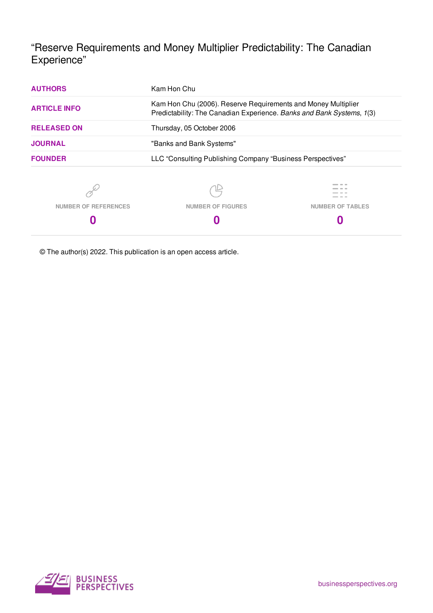"Reserve Requirements and Money Multiplier Predictability: The Canadian Experience"

| <b>AUTHORS</b>              | Kam Hon Chu                                                                                                                            |  |  |  |  |  |
|-----------------------------|----------------------------------------------------------------------------------------------------------------------------------------|--|--|--|--|--|
| <b>ARTICLE INFO</b>         | Kam Hon Chu (2006). Reserve Requirements and Money Multiplier<br>Predictability: The Canadian Experience. Banks and Bank Systems, 1(3) |  |  |  |  |  |
| <b>RELEASED ON</b>          | Thursday, 05 October 2006                                                                                                              |  |  |  |  |  |
| <b>JOURNAL</b>              | "Banks and Bank Systems"                                                                                                               |  |  |  |  |  |
| <b>FOUNDER</b>              | LLC "Consulting Publishing Company "Business Perspectives"                                                                             |  |  |  |  |  |
|                             |                                                                                                                                        |  |  |  |  |  |
| <b>NUMBER OF REFERENCES</b> | <b>NUMBER OF FIGURES</b><br><b>NUMBER OF TABLES</b>                                                                                    |  |  |  |  |  |
| U                           |                                                                                                                                        |  |  |  |  |  |

© The author(s) 2022. This publication is an open access article.

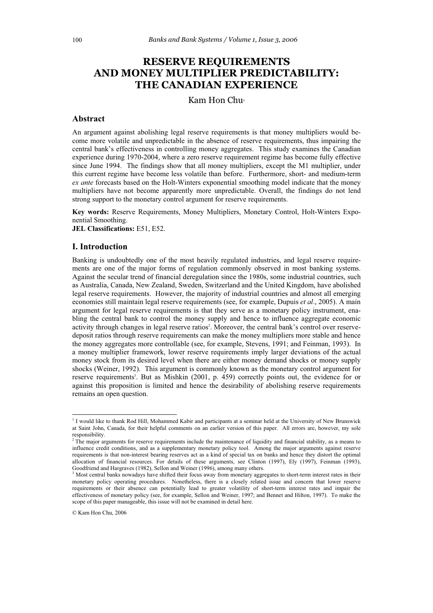# **RESERVE REQUIREMENTS AND MONEY MULTIPLIER PREDICTABILITY: THE CANADIAN EXPERIENCE**

Kam Hon Chu

### **Abstract**

An argument against abolishing legal reserve requirements is that money multipliers would become more volatile and unpredictable in the absence of reserve requirements, thus impairing the central bank's effectiveness in controlling money aggregates. This study examines the Canadian experience during 1970-2004, where a zero reserve requirement regime has become fully effective since June 1994. The findings show that all money multipliers, except the M1 multiplier, under this current regime have become less volatile than before. Furthermore, short- and medium-term *ex ante* forecasts based on the Holt-Winters exponential smoothing model indicate that the money multipliers have not become apparently more unpredictable. Overall, the findings do not lend strong support to the monetary control argument for reserve requirements.

**Key words:** Reserve Requirements, Money Multipliers, Monetary Control, Holt-Winters Exponential Smoothing.

**JEL Classifications:** E51, E52.

#### **I. Introduction**

Banking is undoubtedly one of the most heavily regulated industries, and legal reserve requirements are one of the major forms of regulation commonly observed in most banking systems. Against the secular trend of financial deregulation since the 1980s, some industrial countries, such as Australia, Canada, New Zealand, Sweden, Switzerland and the United Kingdom, have abolished legal reserve requirements. However, the majority of industrial countries and almost all emerging economies still maintain legal reserve requirements (see, for example, Dupuis *et al*., 2005). A main argument for legal reserve requirements is that they serve as a monetary policy instrument, enabling the central bank to control the money supply and hence to influence aggregate economic activity through changes in legal reserve ratios<sup>2</sup>. Moreover, the central bank's control over reservedeposit ratios through reserve requirements can make the money multipliers more stable and hence the money aggregates more controllable (see, for example, Stevens, 1991; and Feinman, 1993). In a money multiplier framework, lower reserve requirements imply larger deviations of the actual money stock from its desired level when there are either money demand shocks or money supply shocks (Weiner, 1992). This argument is commonly known as the monetary control argument for reserve requirements<sup>3</sup>. But as Mishkin (2001, p. 459) correctly points out, the evidence for or against this proposition is limited and hence the desirability of abolishing reserve requirements remains an open question.

© Kam Hon Chu, 2006

 $\overline{a}$ 

<sup>&</sup>lt;sup>1</sup> I would like to thank Rod Hill, Mohammed Kabir and participants at a seminar held at the University of New Brunswick at Saint John, Canada, for their helpful comments on an earlier version of this paper. All errors are, however, my sole responsibility.<br><sup>2</sup> The major arguments for reserve requirements include the maintenance of liquidity and financial stability, as a means to

influence credit conditions, and as a supplementary monetary policy tool. Among the major arguments against reserve requirements is that non-interest bearing reserves act as a kind of special tax on banks and hence they distort the optimal allocation of financial resources. For details of these arguments, see Clinton (1997), Ely (1997), Feinman (1993), Goodfriend and Hargraves (1982), Sellon and Weiner (1996), among many others.

<sup>&</sup>lt;sup>3</sup> Most central banks nowadays have shifted their focus away from monetary aggregates to short-term interest rates in their monetary policy operating procedures. Nonetheless, there is a closely related issue and concern that lower reserve requirements or their absence can potentially lead to greater volatility of short-term interest rates and impair the effectiveness of monetary policy (see, for example, Sellon and Weiner, 1997; and Bennet and Hilton, 1997). To make the scope of this paper manageable, this issue will not be examined in detail here.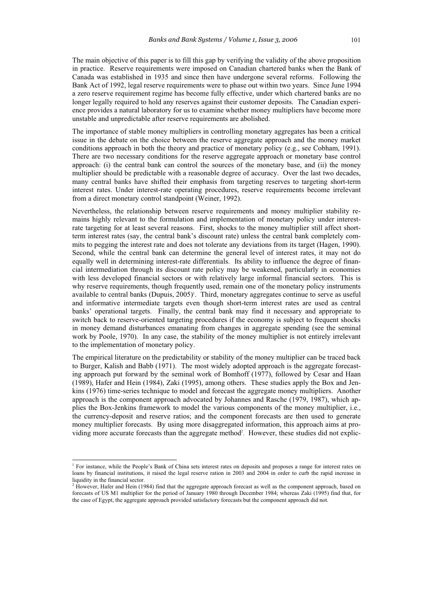The main objective of this paper is to fill this gap by verifying the validity of the above proposition in practice. Reserve requirements were imposed on Canadian chartered banks when the Bank of Canada was established in 1935 and since then have undergone several reforms. Following the Bank Act of 1992, legal reserve requirements were to phase out within two years. Since June 1994 a zero reserve requirement regime has become fully effective, under which chartered banks are no longer legally required to hold any reserves against their customer deposits. The Canadian experience provides a natural laboratory for us to examine whether money multipliers have become more unstable and unpredictable after reserve requirements are abolished.

The importance of stable money multipliers in controlling monetary aggregates has been a critical issue in the debate on the choice between the reserve aggregate approach and the money market conditions approach in both the theory and practice of monetary policy (e.g., see Cobham, 1991). There are two necessary conditions for the reserve aggregate approach or monetary base control approach: (i) the central bank can control the sources of the monetary base, and (ii) the money multiplier should be predictable with a reasonable degree of accuracy. Over the last two decades, many central banks have shifted their emphasis from targeting reserves to targeting short-term interest rates. Under interest-rate operating procedures, reserve requirements become irrelevant from a direct monetary control standpoint (Weiner, 1992).

Nevertheless, the relationship between reserve requirements and money multiplier stability remains highly relevant to the formulation and implementation of monetary policy under interestrate targeting for at least several reasons. First, shocks to the money multiplier still affect shortterm interest rates (say, the central bank's discount rate) unless the central bank completely commits to pegging the interest rate and does not tolerate any deviations from its target (Hagen, 1990). Second, while the central bank can determine the general level of interest rates, it may not do equally well in determining interest-rate differentials. Its ability to influence the degree of financial intermediation through its discount rate policy may be weakened, particularly in economies with less developed financial sectors or with relatively large informal financial sectors. This is why reserve requirements, though frequently used, remain one of the monetary policy instruments available to central banks (Dupuis, 2005)<sup>'</sup>. Third, monetary aggregates continue to serve as useful and informative intermediate targets even though short-term interest rates are used as central banks' operational targets. Finally, the central bank may find it necessary and appropriate to switch back to reserve-oriented targeting procedures if the economy is subject to frequent shocks in money demand disturbances emanating from changes in aggregate spending (see the seminal work by Poole, 1970). In any case, the stability of the money multiplier is not entirely irrelevant to the implementation of monetary policy.

The empirical literature on the predictability or stability of the money multiplier can be traced back to Burger, Kalish and Babb (1971). The most widely adopted approach is the aggregate forecasting approach put forward by the seminal work of Bomhoff (1977), followed by Cesar and Haan (1989), Hafer and Hein (1984), Zaki (1995), among others. These studies apply the Box and Jenkins (1976) time-series technique to model and forecast the aggregate money multipliers. Another approach is the component approach advocated by Johannes and Rasche (1979, 1987), which applies the Box-Jenkins framework to model the various components of the money multiplier, i.e., the currency-deposit and reserve ratios; and the component forecasts are then used to generate money multiplier forecasts. By using more disaggregated information, this approach aims at providing more accurate forecasts than the aggregate method<sup>2</sup>. However, these studies did not explic-

The instance, while the People's Bank of China sets interest rates on deposits and proposes a range for interest rates on loans by financial institutions, it raised the legal reserve ration in 2003 and 2004 in order to curb the rapid increase in liquidity in the financial sector.

<sup>2</sup> However, Hafer and Hein (1984) find that the aggregate approach forecast as well as the component approach, based on forecasts of US M1 multiplier for the period of January 1980 through December 1984; whereas Zaki (1995) find that, for the case of Egypt, the aggregate approach provided satisfactory forecasts but the component approach did not.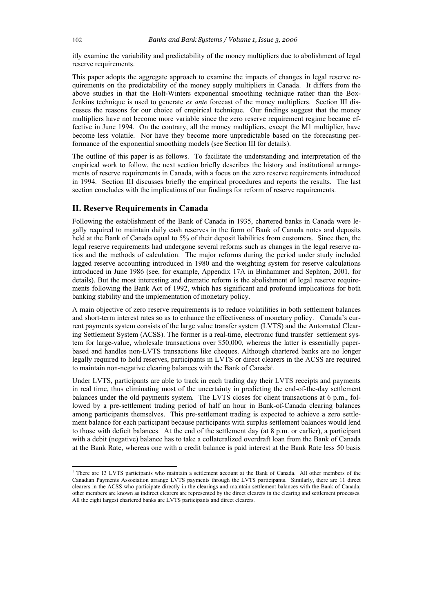itly examine the variability and predictability of the money multipliers due to abolishment of legal reserve requirements.

This paper adopts the aggregate approach to examine the impacts of changes in legal reserve requirements on the predictability of the money supply multipliers in Canada. It differs from the above studies in that the Holt-Winters exponential smoothing technique rather than the Box-Jenkins technique is used to generate *ex ante* forecast of the money multipliers. Section III discusses the reasons for our choice of empirical technique. Our findings suggest that the money multipliers have not become more variable since the zero reserve requirement regime became effective in June 1994. On the contrary, all the money multipliers, except the M1 multiplier, have become less volatile. Nor have they become more unpredictable based on the forecasting performance of the exponential smoothing models (see Section III for details).

The outline of this paper is as follows. To facilitate the understanding and interpretation of the empirical work to follow, the next section briefly describes the history and institutional arrangements of reserve requirements in Canada, with a focus on the zero reserve requirements introduced in 1994. Section III discusses briefly the empirical procedures and reports the results. The last section concludes with the implications of our findings for reform of reserve requirements.

#### **II. Reserve Requirements in Canada**

Following the establishment of the Bank of Canada in 1935, chartered banks in Canada were legally required to maintain daily cash reserves in the form of Bank of Canada notes and deposits held at the Bank of Canada equal to 5% of their deposit liabilities from customers. Since then, the legal reserve requirements had undergone several reforms such as changes in the legal reserve ratios and the methods of calculation. The major reforms during the period under study included lagged reserve accounting introduced in 1980 and the weighting system for reserve calculations introduced in June 1986 (see, for example, Appendix 17A in Binhammer and Sephton, 2001, for details). But the most interesting and dramatic reform is the abolishment of legal reserve requirements following the Bank Act of 1992, which has significant and profound implications for both banking stability and the implementation of monetary policy.

A main objective of zero reserve requirements is to reduce volatilities in both settlement balances and short-term interest rates so as to enhance the effectiveness of monetary policy. Canada's current payments system consists of the large value transfer system (LVTS) and the Automated Clearing Settlement System (ACSS). The former is a real-time, electronic fund transfer settlement system for large-value, wholesale transactions over \$50,000, whereas the latter is essentially paperbased and handles non-LVTS transactions like cheques. Although chartered banks are no longer legally required to hold reserves, participants in LVTS or direct clearers in the ACSS are required to maintain non-negative clearing balances with the Bank of Canada<sup>1</sup>.

Under LVTS, participants are able to track in each trading day their LVTS receipts and payments in real time, thus eliminating most of the uncertainty in predicting the end-of-the-day settlement balances under the old payments system. The LVTS closes for client transactions at 6 p.m., followed by a pre-settlement trading period of half an hour in Bank-of-Canada clearing balances among participants themselves. This pre-settlement trading is expected to achieve a zero settlement balance for each participant because participants with surplus settlement balances would lend to those with deficit balances. At the end of the settlement day (at 8 p.m. or earlier), a participant with a debit (negative) balance has to take a collateralized overdraft loan from the Bank of Canada at the Bank Rate, whereas one with a credit balance is paid interest at the Bank Rate less 50 basis

There are 13 LVTS participants who maintain a settlement account at the Bank of Canada. All other members of the Canadian Payments Association arrange LVTS payments through the LVTS participants. Similarly, there are 11 direct clearers in the ACSS who participate directly in the clearings and maintain settlement balances with the Bank of Canada; other members are known as indirect clearers are represented by the direct clearers in the clearing and settlement processes. All the eight largest chartered banks are LVTS participants and direct clearers.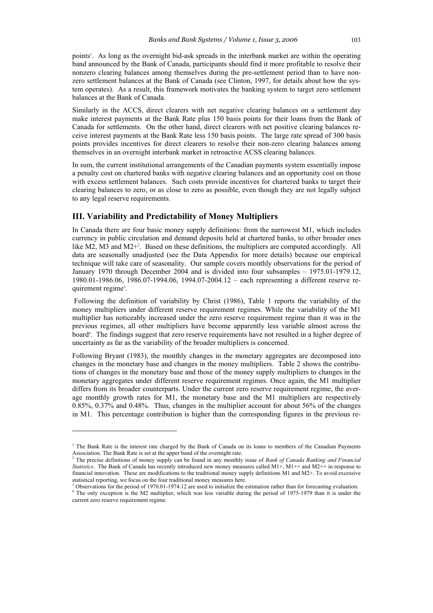points<sup>1</sup>. As long as the overnight bid-ask spreads in the interbank market are within the operating band announced by the Bank of Canada, participants should find it more profitable to resolve their nonzero clearing balances among themselves during the pre-settlement period than to have nonzero settlement balances at the Bank of Canada (see Clinton, 1997, for details about how the system operates). As a result, this framework motivates the banking system to target zero settlement balances at the Bank of Canada.

Similarly in the ACCS, direct clearers with net negative clearing balances on a settlement day make interest payments at the Bank Rate plus 150 basis points for their loans from the Bank of Canada for settlements. On the other hand, direct clearers with net positive clearing balances receive interest payments at the Bank Rate less 150 basis points. The large rate spread of 300 basis points provides incentives for direct clearers to resolve their non-zero clearing balances among themselves in an overnight interbank market in retroactive ACSS clearing balances.

In sum, the current institutional arrangements of the Canadian payments system essentially impose a penalty cost on chartered banks with negative clearing balances and an opportunity cost on those with excess settlement balances. Such costs provide incentives for chartered banks to target their clearing balances to zero, or as close to zero as possible, even though they are not legally subject to any legal reserve requirements.

#### **III. Variability and Predictability of Money Multipliers**

 $\overline{a}$ 

In Canada there are four basic money supply definitions: from the narrowest M1, which includes currency in public circulation and demand deposits held at chartered banks, to other broader ones like M2, M3 and M2<sup>+2</sup>. Based on these definitions, the multipliers are computed accordingly. All data are seasonally unadjusted (see the Data Appendix for more details) because our empirical technique will take care of seasonality. Our sample covers monthly observations for the period of January 1970 through December 2004 and is divided into four subsamples – 1975.01-1979.12, 1980.01-1986.06, 1986.07-1994.06, 1994.07-2004.12 – each representing a different reserve requirement regime<sup>3</sup>.

 Following the definition of variability by Christ (1986), Table 1 reports the variability of the money multipliers under different reserve requirement regimes. While the variability of the M1 multiplier has noticeably increased under the zero reserve requirement regime than it was in the previous regimes, all other multipliers have become apparently less variable almost across the board<sup>4</sup>. The findings suggest that zero reserve requirements have not resulted in a higher degree of uncertainty as far as the variability of the broader multipliers is concerned.

Following Bryant (1983), the monthly changes in the monetary aggregates are decomposed into changes in the monetary base and changes in the money multipliers. Table 2 shows the contributions of changes in the monetary base and those of the money supply multipliers to changes in the monetary aggregates under different reserve requirement regimes. Once again, the M1 multiplier differs from its broader counterparts. Under the current zero reserve requirement regime, the average monthly growth rates for M1, the monetary base and the M1 multipliers are respectively 0.85%, 0.37% and 0.48%. Thus, changes in the multiplier account for about 56% of the changes in M1. This percentage contribution is higher than the corresponding figures in the previous re-

<sup>&</sup>lt;sup>1</sup> The Bank Rate is the interest rate charged by the Bank of Canada on its loans to members of the Canadian Payments Association. The Bank Rate is set at the upper band of the overnight rate. 2 The precise definitions of money supply can be found in any monthly issue of *Bank of Canada Banking and Financial* 

*Statistics*. The Bank of Canada has recently introduced new money measures called M1+, M1++ and M2++ in response to financial innovation. These are modifications to the traditional money supply definitions M1 and M2+. To avoid excessive statistical reporting, we focus on the four traditional money measures here.<br> $\frac{3}{2}$  Observations for the period of 1970.01, 1974.12 are used to initialize the o

Observations for the period of 1970.01-1974.12 are used to initialize the estimation rather than for forecasting evaluation. <sup>4</sup> The only exception is the M2 multiplier, which was less variable during the period of 1975-1979 than it is under the current zero reserve requirement regime.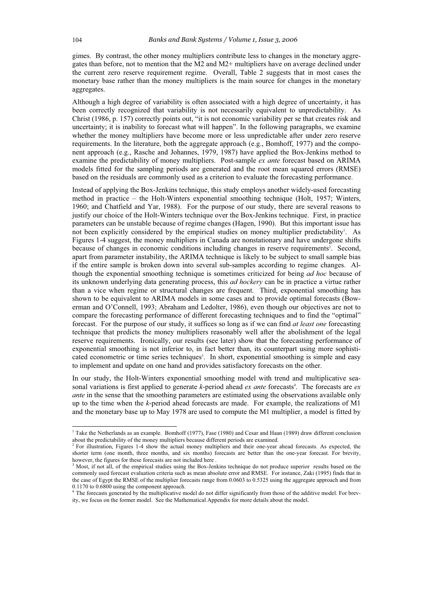gimes. By contrast, the other money multipliers contribute less to changes in the monetary aggregates than before, not to mention that the M2 and M2+ multipliers have on average declined under the current zero reserve requirement regime. Overall, Table 2 suggests that in most cases the monetary base rather than the money multipliers is the main source for changes in the monetary aggregates.

Although a high degree of variability is often associated with a high degree of uncertainty, it has been correctly recognized that variability is not necessarily equivalent to unpredictability. As Christ (1986, p. 157) correctly points out, "it is not economic variability per se that creates risk and uncertainty; it is inability to forecast what will happen". In the following paragraphs, we examine whether the money multipliers have become more or less unpredictable after under zero reserve requirements. In the literature, both the aggregate approach (e.g., Bomhoff, 1977) and the component approach (e.g., Rasche and Johannes, 1979, 1987) have applied the Box-Jenkins method to examine the predictability of money multipliers. Post-sample *ex ante* forecast based on ARIMA models fitted for the sampling periods are generated and the root mean squared errors (RMSE) based on the residuals are commonly used as a criterion to evaluate the forecasting performance.

Instead of applying the Box-Jenkins technique, this study employs another widely-used forecasting method in practice – the Holt-Winters exponential smoothing technique (Holt, 1957; Winters, 1960; and Chatfield and Yar, 1988). For the purpose of our study, there are several reasons to justify our choice of the Holt-Winters technique over the Box-Jenkins technique. First, in practice parameters can be unstable because of regime changes (Hagen, 1990). But this important issue has not been explicitly considered by the empirical studies on money multiplier predictability<sup>1</sup>. As Figures 1-4 suggest, the money multipliers in Canada are nonstationary and have undergone shifts because of changes in economic conditions including changes in reserve requirements<sup>2</sup>. Second, apart from parameter instability, the ARIMA technique is likely to be subject to small sample bias if the entire sample is broken down into several sub-samples according to regime changes. Although the exponential smoothing technique is sometimes criticized for being *ad hoc* because of its unknown underlying data generating process, this *ad hockery* can be in practice a virtue rather than a vice when regime or structural changes are frequent. Third, exponential smoothing has shown to be equivalent to ARIMA models in some cases and to provide optimal forecasts (Bowerman and O'Connell, 1993; Abraham and Ledolter, 1986), even though our objectives are not to compare the forecasting performance of different forecasting techniques and to find the "optimal" forecast. For the purpose of our study, it suffices so long as if we can find *at least one* forecasting technique that predicts the money multipliers reasonably well after the abolishment of the legal reserve requirements. Ironically, our results (see later) show that the forecasting performance of exponential smoothing is not inferior to, in fact better than, its counterpart using more sophisticated econometric or time series techniques<sup>3</sup>. In short, exponential smoothing is simple and easy to implement and update on one hand and provides satisfactory forecasts on the other.

In our study, the Holt-Winters exponential smoothing model with trend and multiplicative seasonal variations is first applied to generate k-period ahead *ex ante* forecasts<sup>4</sup>. The forecasts are *ex ante* in the sense that the smoothing parameters are estimated using the observations available only up to the time when the *k*-period ahead forecasts are made. For example, the realizations of M1 and the monetary base up to May 1978 are used to compute the M1 multiplier, a model is fitted by

 1 Take the Netherlands as an example. Bomhoff (1977), Fase (1980) and Cesar and Haan (1989) draw different conclusion about the predictability of the money multipliers because different periods are examined.

<sup>&</sup>lt;sup>2</sup> For illustration, Figures 1-4 show the actual money multipliers and their one-year ahead forecasts. As expected, the shorter term (one month, three months, and six months) forecasts are better than the one-year forecast. For brevity, however, the figures for these forecasts are not included here .

<sup>&</sup>lt;sup>3</sup> Most, if not all, of the empirical studies using the Box-Jenkins technique do not produce superior results based on the commonly used forecast evaluation criteria such as mean absolute error and RMSE. For instance, Zaki (1995) finds that in the case of Egypt the RMSE of the multiplier forecasts range from 0.0603 to 0.5325 using the aggregate approach and from 0.1170 to 0.6800 using the component approach.

<sup>&</sup>lt;sup>4</sup> The forecasts generated by the multiplicative model do not differ significantly from those of the additive model. For brevity, we focus on the former model. See the Mathematical Appendix for more details about the model.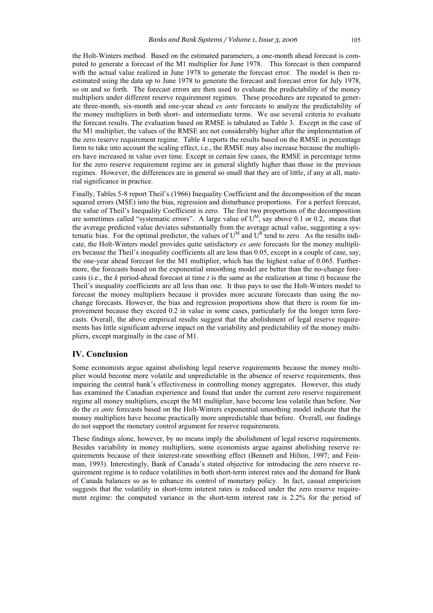the Holt-Winters method. Based on the estimated parameters, a one-month ahead forecast is computed to generate a forecast of the M1 multiplier for June 1978. This forecast is then compared with the actual value realized in June 1978 to generate the forecast error. The model is then reestimated using the data up to June 1978 to generate the forecast and forecast error for July 1978, so on and so forth. The forecast errors are then used to evaluate the predictability of the money multipliers under different reserve requirement regimes. These procedures are repeated to generate three-month, six-month and one-year ahead *ex ante* forecasts to analyze the predictability of the money multipliers in both short- and intermediate terms. We use several criteria to evaluate the forecast results. The evaluation based on RMSE is tabulated as Table 3. Except in the case of the M1 multiplier, the values of the RMSE are not considerably higher after the implementation of the zero reserve requirement regime. Table 4 reports the results based on the RMSE in percentage form to take into account the scaling effect, i.e., the RMSE may also increase because the multipliers have increased in value over time. Except in certain few cases, the RMSE in percentage terms for the zero reserve requirement regime are in general slightly higher than those in the previous regimes. However, the differences are in general so small that they are of little, if any at all, material significance in practice.

Finally, Tables 5-8 report Theil's (1966) Inequality Coefficient and the decomposition of the mean squared errors (MSE) into the bias, regression and disturbance proportions. For a perfect forecast, the value of Theil's Inequality Coefficient is zero. The first two proportions of the decomposition are sometimes called "systematic errors". A large value of  $U^M$ , say above 0.1 or 0.2, means that the average predicted value deviates substantially from the average actual value, suggesting a systematic bias. For the optimal predictor, the values of  $U^M$  and  $U^R$  tend to zero. As the results indicate, the Holt-Winters model provides quite satisfactory *ex ante* forecasts for the money multipliers because the Theil's inequality coefficients all are less than 0.05, except in a couple of case, say, the one-year ahead forecast for the M1 multiplier, which has the highest value of 0.065. Furthermore, the forecasts based on the exponential smoothing model are better than the no-change forecasts (i.e., the *k* period-ahead forecast at time *t* is the same as the realization at time *t*) because the Theil's inequality coefficients are all less than one. It thus pays to use the Holt-Winters model to forecast the money multipliers because it provides more accurate forecasts than using the nochange forecasts. However, the bias and regression proportions show that there is room for improvement because they exceed 0.2 in value in some cases, particularly for the longer term forecasts. Overall, the above empirical results suggest that the abolishment of legal reserve requirements has little significant adverse impact on the variability and predictability of the money multipliers, except marginally in the case of M1.

# **IV. Conclusion**

Some economists argue against abolishing legal reserve requirements because the money multiplier would become more volatile and unpredictable in the absence of reserve requirements, thus impairing the central bank's effectiveness in controlling money aggregates. However, this study has examined the Canadian experience and found that under the current zero reserve requirement regime all money multipliers, except the M1 multiplier, have become less volatile than before. Nor do the *ex ante* forecasts based on the Holt-Winters exponential smoothing model indicate that the money multipliers have become practically more unpredictable than before. Overall, our findings do not support the monetary control argument for reserve requirements.

These findings alone, however, by no means imply the abolishment of legal reserve requirements. Besides variability in money multipliers, some economists argue against abolishing reserve requirements because of their interest-rate smoothing effect (Bennett and Hilton, 1997; and Feinman, 1993). Interestingly, Bank of Canada's stated objective for introducing the zero reserve requirement regime is to reduce volatilities in both short-term interest rates and the demand for Bank of Canada balances so as to enhance its control of monetary policy. In fact, casual empiricism suggests that the volatility in short-term interest rates is reduced under the zero reserve requirement regime: the computed variance in the short-term interest rate is 2.2% for the period of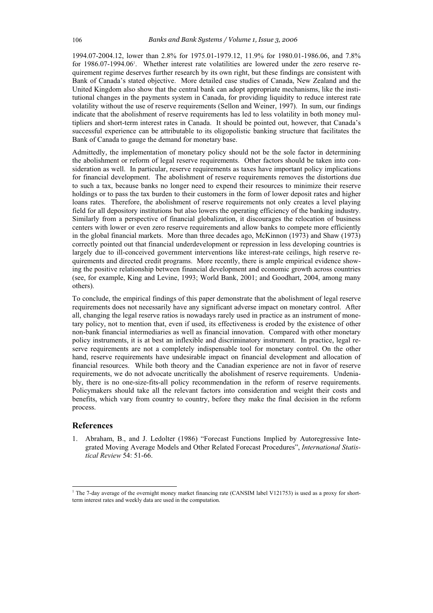1994.07-2004.12, lower than 2.8% for 1975.01-1979.12, 11.9% for 1980.01-1986.06, and 7.8% for 1986.07-1994.06'. Whether interest rate volatilities are lowered under the zero reserve requirement regime deserves further research by its own right, but these findings are consistent with Bank of Canada's stated objective. More detailed case studies of Canada, New Zealand and the United Kingdom also show that the central bank can adopt appropriate mechanisms, like the institutional changes in the payments system in Canada, for providing liquidity to reduce interest rate volatility without the use of reserve requirements (Sellon and Weiner, 1997). In sum, our findings indicate that the abolishment of reserve requirements has led to less volatility in both money multipliers and short-term interest rates in Canada. It should be pointed out, however, that Canada's successful experience can be attributable to its oligopolistic banking structure that facilitates the Bank of Canada to gauge the demand for monetary base.

Admittedly, the implementation of monetary policy should not be the sole factor in determining the abolishment or reform of legal reserve requirements. Other factors should be taken into consideration as well. In particular, reserve requirements as taxes have important policy implications for financial development. The abolishment of reserve requirements removes the distortions due to such a tax, because banks no longer need to expend their resources to minimize their reserve holdings or to pass the tax burden to their customers in the form of lower deposit rates and higher loans rates. Therefore, the abolishment of reserve requirements not only creates a level playing field for all depository institutions but also lowers the operating efficiency of the banking industry. Similarly from a perspective of financial globalization, it discourages the relocation of business centers with lower or even zero reserve requirements and allow banks to compete more efficiently in the global financial markets. More than three decades ago, McKinnon (1973) and Shaw (1973) correctly pointed out that financial underdevelopment or repression in less developing countries is largely due to ill-conceived government interventions like interest-rate ceilings, high reserve requirements and directed credit programs. More recently, there is ample empirical evidence showing the positive relationship between financial development and economic growth across countries (see, for example, King and Levine, 1993; World Bank, 2001; and Goodhart, 2004, among many others).

To conclude, the empirical findings of this paper demonstrate that the abolishment of legal reserve requirements does not necessarily have any significant adverse impact on monetary control. After all, changing the legal reserve ratios is nowadays rarely used in practice as an instrument of monetary policy, not to mention that, even if used, its effectiveness is eroded by the existence of other non-bank financial intermediaries as well as financial innovation. Compared with other monetary policy instruments, it is at best an inflexible and discriminatory instrument. In practice, legal reserve requirements are not a completely indispensable tool for monetary control. On the other hand, reserve requirements have undesirable impact on financial development and allocation of financial resources. While both theory and the Canadian experience are not in favor of reserve requirements, we do not advocate uncritically the abolishment of reserve requirements. Undeniably, there is no one-size-fits-all policy recommendation in the reform of reserve requirements. Policymakers should take all the relevant factors into consideration and weight their costs and benefits, which vary from country to country, before they make the final decision in the reform process.

#### **References**

1. Abraham, B., and J. Ledolter (1986) "Forecast Functions Implied by Autoregressive Integrated Moving Average Models and Other Related Forecast Procedures", *International Statistical Review* 54: 51-66.

The 7-day average of the overnight money market financing rate (CANSIM label V121753) is used as a proxy for shortterm interest rates and weekly data are used in the computation.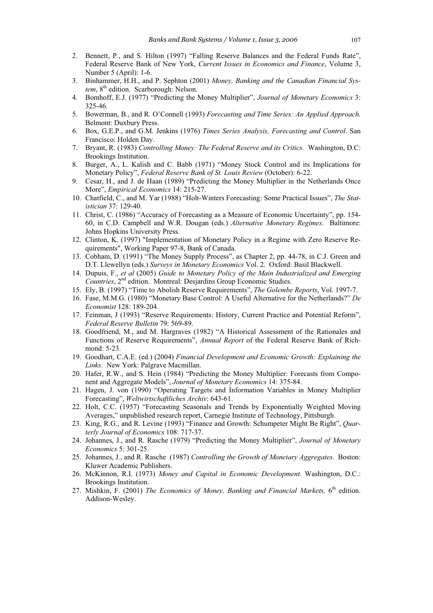- 2. Bennett, P., and S. Hilton (1997) "Falling Reserve Balances and the Federal Funds Rate", Federal Reserve Bank of New York, *Current Issues in Economics and Finance*, Volume 3, Number 5 (April): 1-6.
- 3. Binhammer, H.H., and P. Sephton (2001) *Money, Banking and the Canadian Financial System*, 8<sup>th</sup> edition. Scarborough: Nelson.
- 4. Bomhoff, E.J. (1977) "Predicting the Money Multiplier", *Journal of Monetary Economics* 3: 325-46.
- 5. Bowerman, B., and R. O'Connell (1993) *Forecasting and Time Series: An Applied Approach.* Belmont: Duxbury Press.
- 6. Box, G.E.P., and G.M. Jenkins (1976) *Times Series Analysis, Forecasting and Control*. San Francisco: Holden Day.
- 7. Bryant, R. (1983) *Controlling Money: The Federal Reserve and its Critics.* Washington, D.C: Brookings Institution.
- 8. Burger, A., L. Kalish and C. Babb (1971) "Money Stock Control and its Implications for Monetary Policy", *Federal Reserve Bank of St. Louis Review* (October): 6-22.
- 9. Cesar, H., and J. de Haan (1989) "Predicting the Money Multiplier in the Netherlands Once More", *Empirical Economics* 14: 215-27.
- 10. Chatfield, C., and M. Yar (1988) "Holt-Winters Forecasting: Some Practical Issues", *The Statistician* 37: 129-40.
- 11. Christ, C. (1986) "Accuracy of Forecasting as a Measure of Economic Uncertainty", pp. 154- 60, in C.D. Campbell and W.R. Dougan (eds.) *Alternative Monetary Regimes*. Baltimore: Johns Hopkins University Press.
- 12. Clinton, K. (1997) "Implementation of Monetary Policy in a Regime with Zero Reserve Requirements", Working Paper 97-8, Bank of Canada.
- 13. Cobham, D. (1991) "The Money Supply Process", as Chapter 2, pp. 44-78, in C.J. Green and D.T. Llewellyn (eds.) *Surveys in Monetary Economics* Vol. 2. Oxford: Basil Blackwell.
- 14. Dupuis, F., *et al* (2005) *Guide to Monetary Policy of the Main Industrialized and Emerging Countries*, 2nd edition. Montreal: Desjardins Group Economic Studies.
- 15. Ely, B. (1997) "Time to Abolish Reserve Requirements", *The Golembe Reports*, Vol. 1997-7.
- 16. Fase, M.M.G. (1980) "Monetary Base Control: A Useful Alternative for the Netherlands?" *De Economist* 128: 189-204.
- 17. Feinman, J (1993) "Reserve Requirements: History, Current Practice and Potential Reform", *Federal Reserve Bulletin* 79: 569-89.
- 18. Goodfriend, M., and M. Hargraves (1982) "A Historical Assessment of the Rationales and Functions of Reserve Requirements", *Annual Report* of the Federal Reserve Bank of Richmond: 5-23.
- 19. Goodhart, C.A.E. (ed.) (2004) *Financial Development and Economic Growth: Explaining the Links*. New York: Palgrave Macmillan.
- 20. Hafer, R.W., and S. Hein (1984) "Predicting the Money Multiplier: Forecasts from Component and Aggregate Models", *Journal of Monetary Economics* 14: 375-84.
- 21. Hagen, J. von (1990) "Operating Targets and Information Variables in Money Multiplier Forecasting", *Weltwirtschaftliches Archiv*: 643-61.
- 22. Holt, C.C. (1957) "Forecasting Seasonals and Trends by Exponentially Weighted Moving Averages," unpublished research report, Carnegie Institute of Technology, Pittsburgh.
- 23. King, R.G., and R. Levine (1993) "Finance and Growth: Schumpeter Might Be Right", *Quarterly Journal of Economics* 108: 717-37.
- 24. Johannes, J., and R. Rasche (1979) "Predicting the Money Multiplier", *Journal of Monetary Economics* 5: 301-25.
- 25. Johannes, J., and R. Rasche (1987) *Controlling the Growth of Monetary Aggregates*. Boston: Kluwer Academic Publishers.
- 26. McKinnon, R.I. (1973) *Money and Capital in Economic Development.* Washington, D.C.: Brookings Institution.
- 27. Mishkin, F. (2001) *The Economics of Money, Banking and Financial Markets*. 6<sup>th</sup> edition. Addison-Wesley.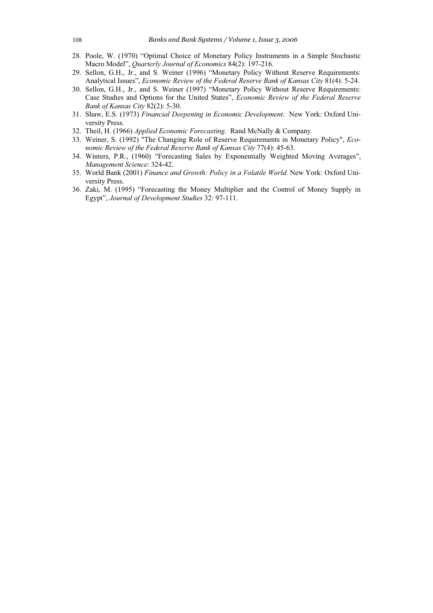- 28. Poole, W. (1970) "Optimal Choice of Monetary Policy Instruments in a Simple Stochastic Macro Model", *Quarterly Journal of Economics* 84(2): 197-216.
- 29. Sellon, G.H., Jr., and S. Weiner (1996) "Monetary Policy Without Reserve Requirements: Analytical Issues", *Economic Review of the Federal Reserve Bank of Kansas City* 81(4): 5-24.
- 30. Sellon, G.H., Jr., and S. Weiner (1997) "Monetary Policy Without Reserve Requirements: Case Studies and Options for the United States", *Economic Review of the Federal Reserve Bank of Kansas City* 82(2): 5-30.
- 31. Shaw, E.S. (1973) *Financial Deepening in Economic Development*. New York: Oxford University Press.
- 32. Theil, H. (1966) *Applied Economic Forecasting.* Rand McNally & Company.
- 33. Weiner, S. (1992) "The Changing Role of Reserve Requirements in Monetary Policy", *Economic Review of the Federal Reserve Bank of Kansas City* 77(4): 45-63.
- 34. Winters, P.R., (1960) "Forecasting Sales by Exponentially Weighted Moving Averages", *Management Science*: 324-42.
- 35. World Bank (2001) *Finance and Growth: Policy in a Volatile World.* New York: Oxford University Press.
- 36. Zaki, M. (1995) "Forecasting the Money Multiplier and the Control of Money Supply in Egypt", *Journal of Development Studies* 32: 97-111.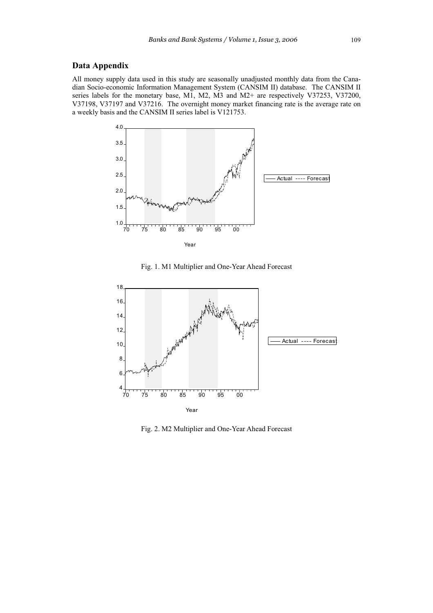# **Data Appendix**

All money supply data used in this study are seasonally unadjusted monthly data from the Canadian Socio-economic Information Management System (CANSIM II) database. The CANSIM II series labels for the monetary base, M1, M2, M3 and M2+ are respectively V37253, V37200, V37198, V37197 and V37216. The overnight money market financing rate is the average rate on a weekly basis and the CANSIM II series label is V121753.



Fig. 1. M1 Multiplier and One-Year Ahead Forecast



Fig. 2. M2 Multiplier and One-Year Ahead Forecast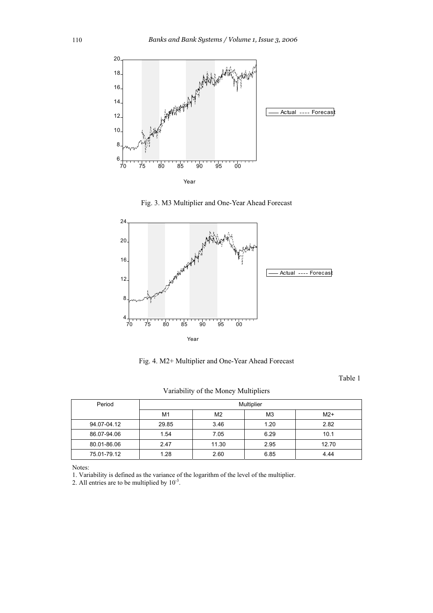

Fig. 3. M3 Multiplier and One-Year Ahead Forecast



Fig. 4. M2+ Multiplier and One-Year Ahead Forecast

Table 1

Variability of the Money Multipliers

| Period      | Multiplier |       |      |       |  |  |  |
|-------------|------------|-------|------|-------|--|--|--|
|             | M1         | $M2+$ |      |       |  |  |  |
| 94.07-04.12 | 29.85      | 3.46  | 1.20 | 2.82  |  |  |  |
| 86.07-94.06 | 1.54       | 7.05  | 6.29 | 10.1  |  |  |  |
| 80.01-86.06 | 2.47       | 11.30 | 2.95 | 12.70 |  |  |  |
| 75.01-79.12 | 1.28       | 2.60  | 6.85 | 4.44  |  |  |  |

Notes:

1. Variability is defined as the variance of the logarithm of the level of the multiplier.

2. All entries are to be multiplied by  $10^{-3}$ .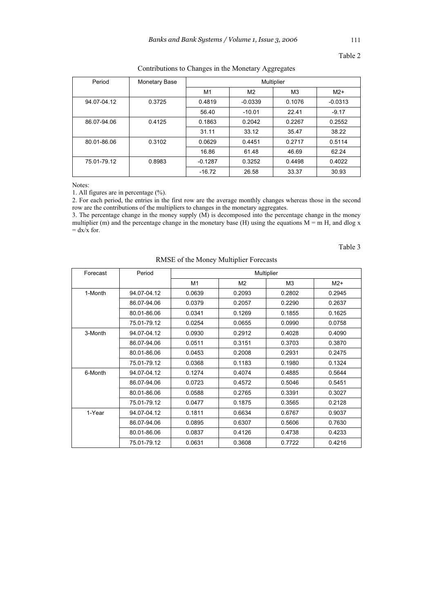| Period      | Monetary Base | Multiplier |                |                |           |
|-------------|---------------|------------|----------------|----------------|-----------|
|             |               | M1         | M <sub>2</sub> | M <sub>3</sub> | $M2+$     |
| 94.07-04.12 | 0.3725        | 0.4819     | $-0.0339$      | 0.1076         | $-0.0313$ |
|             |               | 56.40      | $-10.01$       | 22.41          | $-9.17$   |
| 86.07-94.06 | 0.4125        | 0.1863     | 0.2042         | 0.2267         | 0.2552    |
|             |               | 31.11      | 33.12          | 35.47          | 38.22     |
| 80.01-86.06 | 0.3102        | 0.0629     | 0.4451         | 0.2717         | 0.5114    |
|             |               | 16.86      | 61.48          | 46.69          | 62.24     |
| 75.01-79.12 | 0.8983        | $-0.1287$  | 0.3252         | 0.4498         | 0.4022    |
|             |               | $-16.72$   | 26.58          | 33.37          | 30.93     |

Contributions to Changes in the Monetary Aggregates

Notes:

1. All figures are in percentage (%).

2. For each period, the entries in the first row are the average monthly changes whereas those in the second row are the contributions of the multipliers to changes in the monetary aggregates.

3. The percentage change in the money supply (M) is decomposed into the percentage change in the money multiplier (m) and the percentage change in the monetary base (H) using the equations  $M = m H$ , and dlog x  $=$  dx/x for.

Table 3

| Forecast | Period      | Multiplier |                |                |        |  |  |
|----------|-------------|------------|----------------|----------------|--------|--|--|
|          |             | M1         | M <sub>2</sub> | M <sub>3</sub> | $M2+$  |  |  |
| 1-Month  | 94.07-04.12 | 0.0639     | 0.2093         | 0.2802         | 0.2945 |  |  |
|          | 86.07-94.06 | 0.0379     | 0.2057         | 0.2290         | 0.2637 |  |  |
|          | 80.01-86.06 | 0.0341     | 0.1269         | 0.1855         | 0.1625 |  |  |
|          | 75.01-79.12 | 0.0254     | 0.0655         | 0.0990         | 0.0758 |  |  |
| 3-Month  | 94.07-04.12 | 0.0930     | 0.2912         | 0.4028         | 0.4090 |  |  |
|          | 86.07-94.06 | 0.0511     | 0.3151         | 0.3703         | 0.3870 |  |  |
|          | 80.01-86.06 | 0.0453     | 0.2008         | 0.2931         | 0.2475 |  |  |
|          | 75.01-79.12 | 0.0368     | 0.1183         | 0.1980         | 0.1324 |  |  |
| 6-Month  | 94.07-04.12 | 0.1274     | 0.4074         | 0.4885         | 0.5644 |  |  |
|          | 86.07-94.06 | 0.0723     | 0.4572         | 0.5046         | 0.5451 |  |  |
|          | 80.01-86.06 | 0.0588     | 0.2765         | 0.3391         | 0.3027 |  |  |
|          | 75.01-79.12 | 0.0477     | 0.1875         | 0.3565         | 0.2128 |  |  |
| 1-Year   | 94.07-04.12 | 0.1811     | 0.6634         | 0.6767         | 0.9037 |  |  |
|          | 86.07-94.06 | 0.0895     | 0.6307         | 0.5606         | 0.7630 |  |  |
|          | 80.01-86.06 | 0.0837     | 0.4126         | 0.4738         | 0.4233 |  |  |
|          | 75.01-79.12 | 0.0631     | 0.3608         | 0.7722         | 0.4216 |  |  |

RMSE of the Money Multiplier Forecasts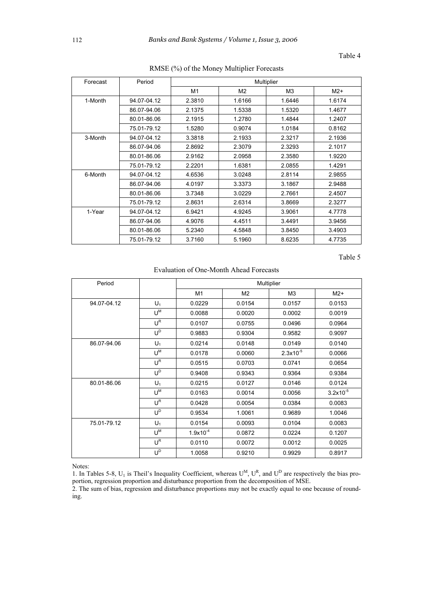| Forecast | Period      | Multiplier |        |                |        |  |
|----------|-------------|------------|--------|----------------|--------|--|
|          |             | M1         | M2     | M <sub>3</sub> | $M2+$  |  |
| 1-Month  | 94.07-04.12 | 2.3810     | 1.6166 | 1.6446         | 1.6174 |  |
|          | 86.07-94.06 | 2.1375     | 1.5338 | 1.5320         | 1.4677 |  |
|          | 80.01-86.06 | 2.1915     | 1.2780 | 1.4844         | 1.2407 |  |
|          | 75.01-79.12 | 1.5280     | 0.9074 | 1.0184         | 0.8162 |  |
| 3-Month  | 94.07-04.12 | 3.3818     | 2.1933 | 2.3217         | 2.1936 |  |
|          | 86.07-94.06 | 2.8692     | 2.3079 | 2.3293         | 2.1017 |  |
|          | 80.01-86.06 | 2.9162     | 2.0958 | 2.3580         | 1.9220 |  |
|          | 75.01-79.12 | 2.2201     | 1.6381 | 2.0855         | 1.4291 |  |
| 6-Month  | 94.07-04.12 | 4.6536     | 3.0248 | 2.8114         | 2.9855 |  |
|          | 86.07-94.06 | 4.0197     | 3.3373 | 3.1867         | 2.9488 |  |
|          | 80.01-86.06 | 3.7348     | 3.0229 | 2.7661         | 2.4507 |  |
|          | 75.01-79.12 | 2.8631     | 2.6314 | 3.8669         | 2.3277 |  |
| 1-Year   | 94.07-04.12 | 6.9421     | 4.9245 | 3.9061         | 4.7778 |  |
|          | 86.07-94.06 | 4.9076     | 4.4511 | 3.4491         | 3.9456 |  |
|          | 80.01-86.06 | 5.2340     | 4.5848 | 3.8450         | 3.4903 |  |
|          | 75.01-79.12 | 3.7160     | 5.1960 | 8.6235         | 4.7735 |  |

RMSE (%) of the Money Multiplier Forecasts

Table 5

Evaluation of One-Month Ahead Forecasts

| Period      |                  | Multiplier    |                |                |               |  |
|-------------|------------------|---------------|----------------|----------------|---------------|--|
|             |                  | M1            | M <sub>2</sub> | M <sub>3</sub> | $M2+$         |  |
| 94.07-04.12 | $U_1$            | 0.0229        | 0.0154         | 0.0157         | 0.0153        |  |
|             | ∪ <sup>M</sup>   | 0.0088        | 0.0020         | 0.0002         | 0.0019        |  |
|             | $U^R$            | 0.0107        | 0.0755         | 0.0496         | 0.0964        |  |
|             | $U^D$            | 0.9883        | 0.9304         | 0.9582         | 0.9097        |  |
| 86.07-94.06 | $U_1$            | 0.0214        | 0.0148         | 0.0149         | 0.0140        |  |
|             | ∪ <sup>M</sup>   | 0.0178        | 0.0060         | $2.3x10^{-5}$  | 0.0066        |  |
|             | $U^R$            | 0.0515        | 0.0703         | 0.0741         | 0.0654        |  |
|             | $U^{\mathsf{D}}$ | 0.9408        | 0.9343         | 0.9364         | 0.9384        |  |
| 80.01-86.06 | $U_1$            | 0.0215        | 0.0127         | 0.0146         | 0.0124        |  |
|             | $U^M$            | 0.0163        | 0.0014         | 0.0056         | $3.2x10^{-5}$ |  |
|             | $U^R$            | 0.0428        | 0.0054         | 0.0384         | 0.0083        |  |
|             | $U^D$            | 0.9534        | 1.0061         | 0.9689         | 1.0046        |  |
| 75.01-79.12 | $U_1$            | 0.0154        | 0.0093         | 0.0104         | 0.0083        |  |
|             | $U^M$            | $1.9x10^{-4}$ | 0.0872         | 0.0224         | 0.1207        |  |
|             | $U^R$            | 0.0110        | 0.0072         | 0.0012         | 0.0025        |  |
|             | $U^D$            | 1.0058        | 0.9210         | 0.9929         | 0.8917        |  |

Notes:

1. In Tables 5-8,  $U_1$  is Theil's Inequality Coefficient, whereas  $U^M$ ,  $U^R$ , and  $U^D$  are respectively the bias proportion, regression proportion and disturbance proportion from the decomposition of MSE.

2. The sum of bias, regression and disturbance proportions may not be exactly equal to one because of rounding.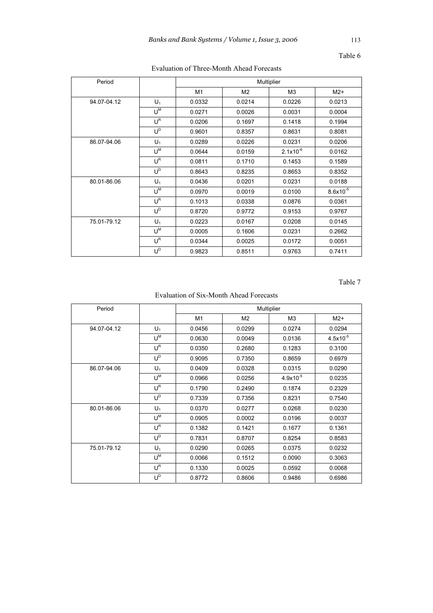| Period      |                           | Multiplier |                |                |               |  |
|-------------|---------------------------|------------|----------------|----------------|---------------|--|
|             |                           | M1         | M <sub>2</sub> | M <sub>3</sub> | $M2+$         |  |
| 94.07-04.12 | $U_1$                     | 0.0332     | 0.0214         | 0.0226         | 0.0213        |  |
|             | ∪ <sup>M</sup>            | 0.0271     | 0.0026         | 0.0031         | 0.0004        |  |
|             | $U^{\mathsf{R}}$          | 0.0206     | 0.1697         | 0.1418         | 0.1994        |  |
|             | $\textbf{U}^{\texttt{D}}$ | 0.9601     | 0.8357         | 0.8631         | 0.8081        |  |
| 86.07-94.06 | $U_1$                     | 0.0289     | 0.0226         | 0.0231         | 0.0206        |  |
|             | ∪ <sup>M</sup>            | 0.0644     | 0.0159         | $2.1x10^{-6}$  | 0.0162        |  |
|             | $U^R$                     | 0.0811     | 0.1710         | 0.1453         | 0.1589        |  |
|             | $U^D$                     | 0.8643     | 0.8235         | 0.8653         | 0.8352        |  |
| 80.01-86.06 | $U_1$                     | 0.0436     | 0.0201         | 0.0231         | 0.0188        |  |
|             | ∪ <sup>M</sup>            | 0.0970     | 0.0019         | 0.0100         | $8.6x10^{-5}$ |  |
|             | $U^{\mathsf{R}}$          | 0.1013     | 0.0338         | 0.0876         | 0.0361        |  |
|             | $U^D$                     | 0.8720     | 0.9772         | 0.9153         | 0.9767        |  |
| 75.01-79.12 | $U_1$                     | 0.0223     | 0.0167         | 0.0208         | 0.0145        |  |
|             | ∪ <sup>M</sup>            | 0.0005     | 0.1606         | 0.0231         | 0.2662        |  |
|             | $\textsf{U}^{\textsf{R}}$ | 0.0344     | 0.0025         | 0.0172         | 0.0051        |  |
|             | $U^D$                     | 0.9823     | 0.8511         | 0.9763         | 0.7411        |  |

# Evaluation of Three-Month Ahead Forecasts

Table 7

# Evaluation of Six-Month Ahead Forecasts

| Period      |                           | Multiplier |                |                |               |  |
|-------------|---------------------------|------------|----------------|----------------|---------------|--|
|             |                           | M1         | M <sub>2</sub> | M <sub>3</sub> | $M2+$         |  |
| 94.07-04.12 | $U_1$                     | 0.0456     | 0.0299         | 0.0274         | 0.0294        |  |
|             | $U^M$                     | 0.0630     | 0.0049         | 0.0136         | $4.5x10^{-5}$ |  |
|             | $U^{\mathsf{R}}$          | 0.0350     | 0.2680         | 0.1283         | 0.3100        |  |
|             | $U^D$                     | 0.9095     | 0.7350         | 0.8659         | 0.6979        |  |
| 86.07-94.06 | $U_1$                     | 0.0409     | 0.0328         | 0.0315         | 0.0290        |  |
|             | $U^M$                     | 0.0966     | 0.0256         | $4.9x10^{-5}$  | 0.0235        |  |
|             | $U^R$                     | 0.1790     | 0.2490         | 0.1874         | 0.2329        |  |
|             | $\textbf{U}^{\texttt{D}}$ | 0.7339     | 0.7356         | 0.8231         | 0.7540        |  |
| 80.01-86.06 | $U_1$                     | 0.0370     | 0.0277         | 0.0268         | 0.0230        |  |
|             | $U^M$                     | 0.0905     | 0.0002         | 0.0196         | 0.0037        |  |
|             | $U^{\mathsf{R}}$          | 0.1382     | 0.1421         | 0.1677         | 0.1361        |  |
|             | $U^D$                     | 0.7831     | 0.8707         | 0.8254         | 0.8583        |  |
| 75.01-79.12 | $U_1$                     | 0.0290     | 0.0265         | 0.0375         | 0.0232        |  |
|             | ∪ <sup>M</sup>            | 0.0066     | 0.1512         | 0.0090         | 0.3063        |  |
|             | $U^R$                     | 0.1330     | 0.0025         | 0.0592         | 0.0068        |  |
|             | $U^D$                     | 0.8772     | 0.8606         | 0.9486         | 0.6986        |  |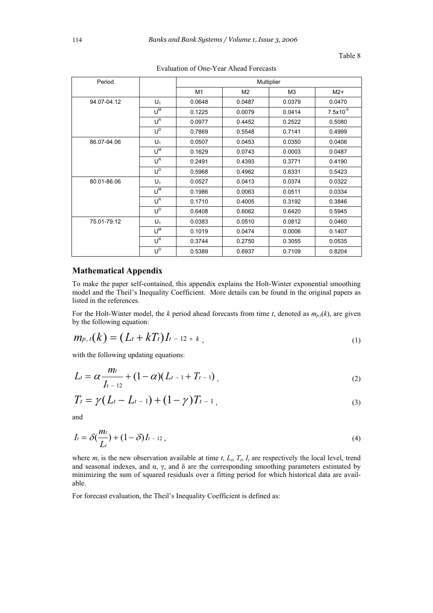| Period      |                  | Multiplier |                |                |               |  |
|-------------|------------------|------------|----------------|----------------|---------------|--|
|             |                  | M1         | M <sub>2</sub> | M <sub>3</sub> | $M2+$         |  |
| 94.07-04.12 | $U_1$            | 0.0648     | 0.0487         | 0.0379         | 0.0470        |  |
|             | U <sup>M</sup>   | 0.1225     | 0.0079         | 0.0414         | $7.5x10^{-5}$ |  |
|             | $U^{\mathsf{R}}$ | 0.0977     | 0.4452         | 0.2522         | 0.5080        |  |
|             | $U^D$            | 0.7869     | 0.5548         | 0.7141         | 0.4999        |  |
| 86.07-94.06 | $U_1$            | 0.0507     | 0.0453         | 0.0350         | 0.0406        |  |
|             | ∪ <sup>M</sup>   | 0.1629     | 0.0743         | 0.0003         | 0.0487        |  |
|             | $U^R$            | 0.2491     | 0.4393         | 0.3771         | 0.4190        |  |
|             | $U^D$            | 0.5968     | 0.4962         | 0.6331         | 0.5423        |  |
| 80.01-86.06 | $U_1$            | 0.0527     | 0.0413         | 0.0374         | 0.0322        |  |
|             | $U^M$            | 0.1986     | 0.0063         | 0.0511         | 0.0334        |  |
|             | $U^{\mathsf{R}}$ | 0.1710     | 0.4005         | 0.3192         | 0.3846        |  |
|             | $U^D$            | 0.6408     | 0.6062         | 0.6420         | 0.5945        |  |
| 75.01-79.12 | $U_1$            | 0.0383     | 0.0510         | 0.0812         | 0.0460        |  |
|             | $U^M$            | 0.1019     | 0.0474         | 0.0006         | 0.1407        |  |
|             | $U^R$            | 0.3744     | 0.2750         | 0.3055         | 0.0535        |  |
|             | $U^D$            | 0.5389     | 0.6937         | 0.7109         | 0.8204        |  |

Evaluation of One-Year Ahead Forecasts

# **Mathematical Appendix**

To make the paper self-contained, this appendix explains the Holt-Winter exponential smoothing model and the Theil's Inequality Coefficient. More details can be found in the original papers as listed in the references.

For the Holt-Winter model, the  $k$  period ahead forecasts from time  $t$ , denoted as  $m_{p,t}(k)$ , are given by the following equation:

$$
m_{p,\,t}(k) = (L_t + kT_t)I_{t-12+k},\tag{1}
$$

with the following updating equations:

$$
L_t = \alpha \frac{m_t}{I_{t-12}} + (1 - \alpha)(L_{t-1} + T_{t-1}),
$$
\n(2)

$$
T_t = \gamma (L_t - L_{t-1}) + (1 - \gamma) T_{t-1}, \qquad (3)
$$

and

$$
I_t = \delta\left(\frac{m_t}{L_t}\right) + (1 - \delta)I_{t-12},\tag{4}
$$

where  $m_t$  is the new observation available at time  $t$ ,  $L_t$ ,  $T_t$ ,  $I_t$  are respectively the local level, trend and seasonal indexes, and  $\alpha$ ,  $\gamma$ , and  $\delta$  are the corresponding smoothing parameters estimated by minimizing the sum of squared residuals over a fitting period for which historical data are available.

For forecast evaluation, the Theil's Inequality Coefficient is defined as: